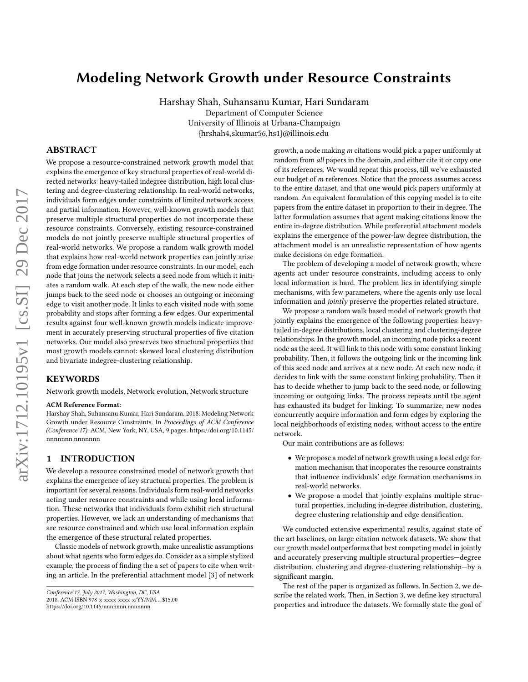# Modeling Network Growth under Resource Constraints

Harshay Shah, Suhansanu Kumar, Hari Sundaram Department of Computer Science University of Illinois at Urbana-Champaign {hrshah4,skumar56,hs1}@illinois.edu

### ABSTRACT

We propose a resource-constrained network growth model that explains the emergence of key structural properties of real-world directed networks: heavy-tailed indegree distribution, high local clustering and degree-clustering relationship. In real-world networks, individuals form edges under constraints of limited network access and partial information. However, well-known growth models that preserve multiple structural properties do not incorporate these resource constraints. Conversely, existing resource-constrained models do not jointly preserve multiple structural properties of real-world networks. We propose a random walk growth model that explains how real-world network properties can jointly arise from edge formation under resource constraints. In our model, each node that joins the network selects a seed node from which it initiates a random walk. At each step of the walk, the new node either jumps back to the seed node or chooses an outgoing or incoming edge to visit another node. It links to each visited node with some probability and stops after forming a few edges. Our experimental results against four well-known growth models indicate improvement in accurately preserving structural properties of five citation networks. Our model also preserves two structural properties that most growth models cannot: skewed local clustering distribution and bivariate indegree-clustering relationship.

## KEYWORDS

Network growth models, Network evolution, Network structure

#### ACM Reference Format:

Harshay Shah, Suhansanu Kumar, Hari Sundaram. 2018. Modeling Network Growth under Resource Constraints. In Proceedings of ACM Conference (Conference'17). ACM, New York, NY, USA, [9](#page-8-0) pages. [https://doi.org/10.1145/](https://doi.org/10.1145/nnnnnnn.nnnnnnn) [nnnnnnn.nnnnnnn](https://doi.org/10.1145/nnnnnnn.nnnnnnn)

#### 1 INTRODUCTION

We develop a resource constrained model of network growth that explains the emergence of key structural properties. The problem is important for several reasons. Individuals form real-world networks acting under resource constraints and while using local information. These networks that individuals form exhibit rich structural properties. However, we lack an understanding of mechanisms that are resource constrained and which use local information explain the emergence of these structural related properties.

Classic models of network growth, make unrealistic assumptions about what agents who form edges do. Consider as a simple stylized example, the process of finding the a set of papers to cite when writing an article. In the preferential attachment model [\[3\]](#page-8-1) of network

<https://doi.org/10.1145/nnnnnnn.nnnnnnn>

growth, a node making m citations would pick a paper uniformly at random from all papers in the domain, and either cite it or copy one of its references. We would repeat this process, till we've exhausted our budget of m references. Notice that the process assumes access to the entire dataset, and that one would pick papers uniformly at random. An equivalent formulation of this copying model is to cite papers from the entire dataset in proportion to their in degree. The latter formulation assumes that agent making citations know the entire in-degree distribution. While preferential attachment models explains the emergence of the power-law degree distribution, the attachment model is an unrealistic representation of how agents make decisions on edge formation.

The problem of developing a model of network growth, where agents act under resource constraints, including access to only local information is hard. The problem lies in identifying simple mechanisms, with few parameters, where the agents only use local information and jointly preserve the properties related structure.

We propose a random walk based model of network growth that jointly explains the emergence of the following properties: heavytailed in-degree distributions, local clustering and clustering-degree relationships. In the growth model, an incoming node picks a recent node as the seed. It will link to this node with some constant linking probability. Then, it follows the outgoing link or the incoming link of this seed node and arrives at a new node. At each new node, it decides to link with the same constant linking probability. Then it has to decide whether to jump back to the seed node, or following incoming or outgoing links. The process repeats until the agent has exhausted its budget for linking. To summarize, new nodes concurrently acquire information and form edges by exploring the local neighborhoods of existing nodes, without access to the entire network.

Our main contributions are as follows:

- We propose a model of network growth using a local edge formation mechanism that incoporates the resource constraints that influence individuals' edge formation mechanisms in real-world networks.
- We propose a model that jointly explains multiple structural properties, including in-degree distribution, clustering, degree clustering relationship and edge densification.

We conducted extensive experimental results, against state of the art baselines, on large citation network datasets. We show that our growth model outperforms that best competing model in jointly and accurately preserving multiple structural properties—degree distribution, clustering and degree-clustering relationship—by a significant margin.

The rest of the paper is organized as follows. In Section [2,](#page-1-0) we describe the related work. Then, in Section [3,](#page-1-1) we define key structural properties and introduce the datasets. We formally state the goal of

Conference'17, July 2017, Washington, DC, USA 2018. ACM ISBN 978-x-xxxx-xxxx-x/YY/MM. . . \$15.00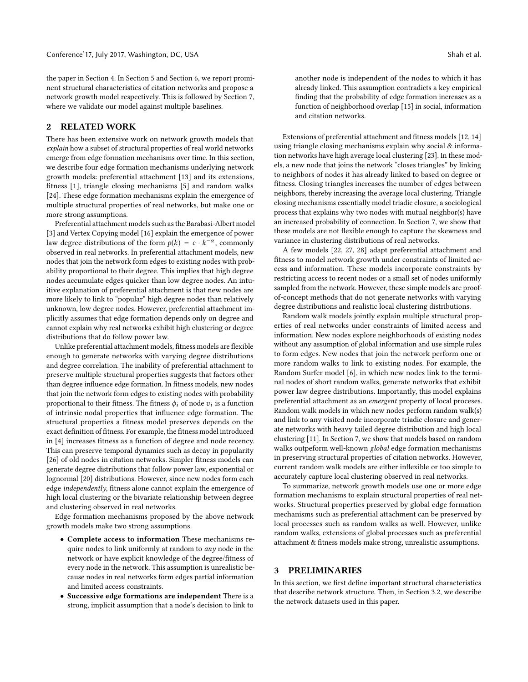the paper in Section [4.](#page-2-0) In Section [5](#page-3-0) and Section [6,](#page-4-0) we report prominent structural characteristics of citation networks and propose a network growth model respectively. This is followed by Section [7,](#page-5-0) where we validate our model against multiple baselines.

## <span id="page-1-0"></span>2 RELATED WORK

There has been extensive work on network growth models that explain how a subset of structural properties of real world networks emerge from edge formation mechanisms over time. In this section, we describe four edge formation mechanisms underlying network growth models: preferential attachment [\[13\]](#page-8-2) and its extensions, fitness [\[1\]](#page-8-3), triangle closing mechanisms [\[5\]](#page-8-4) and random walks [\[24\]](#page-8-5). These edge formation mechanisms explain the emergence of multiple structural properties of real networks, but make one or more strong assumptions.

Preferential attachment models such as the Barabasi-Albert model [\[3\]](#page-8-1) and Vertex Copying model [\[16\]](#page-8-6) explain the emergence of power law degree distributions of the form  $p(k) = c \cdot k^{-\alpha}$ , commonly observed in real networks. In preferential attachment models, new nodes that join the network form edges to existing nodes with probability proportional to their degree. This implies that high degree nodes accumulate edges quicker than low degree nodes. An intuitive explanation of preferential attachment is that new nodes are more likely to link to "popular" high degree nodes than relatively unknown, low degree nodes. However, preferential attachment implicitly assumes that edge formation depends only on degree and cannot explain why real networks exhibit high clustering or degree distributions that do follow power law.

Unlike preferential attachment models, fitness models are flexible enough to generate networks with varying degree distributions and degree correlation. The inability of preferential attachment to preserve multiple structural properties suggests that factors other than degree influence edge formation. In fitness models, new nodes that join the network form edges to existing nodes with probability proportional to their fitness. The fitness  $\phi_i$  of node  $v_i$  is a function<br>of intrinsic nodel properties that influence edge formation. The of intrinsic nodal properties that influence edge formation. The structural properties a fitness model preserves depends on the exact definition of fitness. For example, the fitness model introduced in [\[4\]](#page-8-7) increases fitness as a function of degree and node recency. This can preserve temporal dynamics such as decay in popularity [\[26\]](#page-8-8) of old nodes in citation networks. Simpler fitness models can generate degree distributions that follow power law, exponential or lognormal [\[20\]](#page-8-9) distributions. However, since new nodes form each edge independently, fitness alone cannot explain the emergence of high local clustering or the bivariate relationship between degree and clustering observed in real networks.

Edge formation mechanisms proposed by the above network growth models make two strong assumptions.

- Complete access to information These mechanisms require nodes to link uniformly at random to any node in the network or have explicit knowledge of the degree/fitness of every node in the network. This assumption is unrealistic because nodes in real networks form edges partial information and limited access constraints.
- Successive edge formations are independent There is a strong, implicit assumption that a node's decision to link to

another node is independent of the nodes to which it has already linked. This assumption contradicts a key empirical finding that the probability of edge formation increases as a function of neighborhood overlap [\[15\]](#page-8-10) in social, information and citation networks.

Extensions of preferential attachment and fitness models [\[12,](#page-8-11) [14\]](#page-8-12) using triangle closing mechanisms explain why social & information networks have high average local clustering [\[23\]](#page-8-13). In these models, a new node that joins the network "closes triangles" by linking to neighbors of nodes it has already linked to based on degree or fitness. Closing triangles increases the number of edges between neighbors, thereby increasing the average local clustering. Triangle closing mechanisms essentially model triadic closure, a sociological process that explains why two nodes with mutual neighbor(s) have an increased probability of connection. In Section [7,](#page-5-0) we show that these models are not flexible enough to capture the skewness and variance in clustering distributions of real networks.

A few models [\[22,](#page-8-14) [27,](#page-8-15) [28\]](#page-8-16) adapt preferential attachment and fitness to model network growth under constraints of limited access and information. These models incorporate constraints by restricting access to recent nodes or a small set of nodes uniformly sampled from the network. However, these simple models are proofof-concept methods that do not generate networks with varying degree distributions and realistic local clustering distributions.

Random walk models jointly explain multiple structural properties of real networks under constraints of limited access and information. New nodes explore neighborhoods of existing nodes without any assumption of global information and use simple rules to form edges. New nodes that join the network perform one or more random walks to link to existing nodes. For example, the Random Surfer model [\[6\]](#page-8-17), in which new nodes link to the terminal nodes of short random walks, generate networks that exhibit power law degree distributions. Importantly, this model explains preferential attachment as an emergent property of local proceses. Random walk models in which new nodes perform random walk(s) and link to any visited node incorporate triadic closure and generate networks with heavy tailed degree distribution and high local clustering [\[11\]](#page-8-18). In Section [7,](#page-5-0) we show that models based on random walks outpeform well-known global edge formation mechanisms in preserving structural properties of citation networks. However, current random walk models are either inflexible or too simple to accurately capture local clustering observed in real networks.

To summarize, network growth models use one or more edge formation mechanisms to explain structural properties of real networks. Structural properties preserved by global edge formation mechanisms such as preferential attachment can be preserved by local processes such as random walks as well. However, unlike random walks, extensions of global processes such as preferential attachment & fitness models make strong, unrealistic assumptions.

## <span id="page-1-1"></span>3 PRELIMINARIES

In this section, we first define important structural characteristics that describe network structure. Then, in Section [3.2,](#page-2-1) we describe the network datasets used in this paper.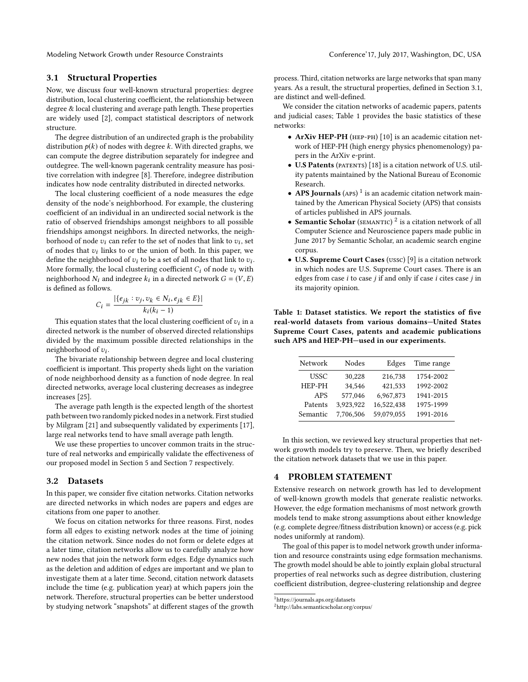Modeling Network Growth under Resource Constraints Conference' Conference' 17, July 2017, Washington, DC, USA

#### <span id="page-2-2"></span>3.1 Structural Properties

Now, we discuss four well-known structural properties: degree distribution, local clustering coefficient, the relationship between degree & local clustering and average path length. These properties are widely used [\[2\]](#page-8-19), compact statistical descriptors of network structure.

The degree distribution of an undirected graph is the probability distribution  $p(k)$  of nodes with degree k. With directed graphs, we can compute the degree distribution separately for indegree and outdegree. The well-known pagerank centrality measure has positive correlation with indegree [\[8\]](#page-8-20). Therefore, indegree distribution indicates how node centrality distributed in directed networks.

The local clustering coefficient of a node measures the edge density of the node's neighborhood. For example, the clustering coefficient of an individual in an undirected social network is the ratio of observed friendships amongst neighbors to all possible friendships amongst neighbors. In directed networks, the neighborhood of node  $v_i$  can refer to the set of nodes that link to  $v_i$ , set of nodes that  $v_i$ , links to or the union of both. In this paper, we of nodes that  $v_i$  links to or the union of both. In this paper, we define the neighborhood of zu to be a set of all nodes that link to zur define the neighborhood of  $v_i$  to be a set of all nodes that link to  $v_i$ .<br>More formally, the local clustering coefficient C: of node zy with More formally, the local clustering coefficient  $C_i$  of node  $v_i$  with neighborhood  $N_i$  and indegree  $k_i$  in a directed network  $G = (V, E)$ <br>is defined as follows is defined as follows.

$$
C_i = \frac{|\{e_{jk} : v_j, v_k \in N_i, e_{jk} \in E\}|}{k_i(k_i - 1)}
$$

This equation states that the local clustering coefficient of  $v_i$  in a nected network is the number of observed directed relationships directed network is the number of observed directed relationships divided by the maximum possible directed relationships in the neighborhood of  $v_i$ .<br>The bivariate rela

The bivariate relationship between degree and local clustering coefficient is important. This property sheds light on the variation of node neighborhood density as a function of node degree. In real directed networks, average local clustering decreases as indegree increases [\[25\]](#page-8-21).

The average path length is the expected length of the shortest path between two randomly picked nodes in a network. First studied by Milgram [\[21\]](#page-8-22) and subsequently validated by experiments [\[17\]](#page-8-23), large real networks tend to have small average path length.

We use these properties to uncover common traits in the structure of real networks and empirically validate the effectiveness of our proposed model in Section [5](#page-3-0) and Section [7](#page-5-0) respectively.

#### <span id="page-2-1"></span>3.2 Datasets

In this paper, we consider five citation networks. Citation networks are directed networks in which nodes are papers and edges are citations from one paper to another.

We focus on citation networks for three reasons. First, nodes form all edges to existing network nodes at the time of joining the citation network. Since nodes do not form or delete edges at a later time, citation networks allow us to carefully analyze how new nodes that join the network form edges. Edge dynamics such as the deletion and addition of edges are important and we plan to investigate them at a later time. Second, citation network datasets include the time (e.g. publication year) at which papers join the network. Therefore, structural properties can be better understood by studying network "snapshots" at different stages of the growth process. Third, citation networks are large networks that span many years. As a result, the structural properties, defined in Section [3.1,](#page-2-2) are distinct and well-defined.

We consider the citation networks of academic papers, patents and judicial cases; Table [1](#page-2-3) provides the basic statistics of these networks:

- ArXiv HEP-PH (HEP-PH) [\[10\]](#page-8-24) is an academic citation network of HEP-PH (high energy physics phenomenology) papers in the ArXiv e-print.
- U.S Patents (PATENTS) [\[18\]](#page-8-25) is a citation network of U.S. utility patents maintained by the National Bureau of Economic Research.
- APS Journals  $(APS)^{1}$  $(APS)^{1}$  $(APS)^{1}$  is an academic citation network maintained by the American Physical Society (APS) that consists of articles published in APS journals.
- Semantic Scholar (SEMANTIC)<sup>[2](#page-2-5)</sup> is a citation network of all Computer Science and Neuroscience papers made public in June 2017 by Semantic Scholar, an academic search engine corpus.
- U.S. Supreme Court Cases (ussc) [\[9\]](#page-8-26) is a citation network in which nodes are U.S. Supreme Court cases. There is an edges from case  $i$  to case  $j$  if and only if case  $i$  cites case  $j$  in its majority opinion.

<span id="page-2-3"></span>Table 1: Dataset statistics. We report the statistics of five real-world datasets from various domains—United States Supreme Court Cases, patents and academic publications such APS and HEP-PH—used in our experiments.

| Network    | Nodes     | Edges      | Time range |
|------------|-----------|------------|------------|
| USSC       | 30,228    | 216,738    | 1754-2002  |
| HEP-PH     | 34.546    | 421,533    | 1992-2002  |
| <b>APS</b> | 577,046   | 6,967,873  | 1941-2015  |
| Patents    | 3,923,922 | 16,522,438 | 1975-1999  |
| Semantic   | 7.706.506 | 59.079.055 | 1991-2016  |

In this section, we reviewed key structural properties that network growth models try to preserve. Then, we briefly described the citation network datasets that we use in this paper.

#### <span id="page-2-0"></span>4 PROBLEM STATEMENT

Extensive research on network growth has led to development of well-known growth models that generate realistic networks. However, the edge formation mechanisms of most network growth models tend to make strong assumptions about either knowledge (e.g. complete degree/fitness distribution known) or access (e.g. pick nodes uniformly at random).

The goal of this paper is to model network growth under information and resource constraints using edge formsation mechanisms. The growth model should be able to jointly explain global structural properties of real networks such as degree distribution, clustering coefficient distribution, degree-clustering relationship and degree

<span id="page-2-4"></span><sup>1</sup>https://journals.aps.org/datasets

<span id="page-2-5"></span><sup>2</sup>http://labs.semanticscholar.org/corpus/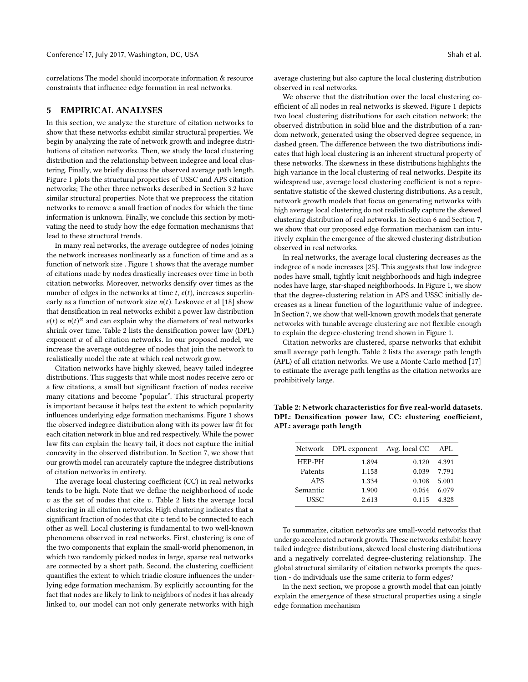correlations The model should incorporate information & resource constraints that influence edge formation in real networks.

#### <span id="page-3-0"></span>5 EMPIRICAL ANALYSES

In this section, we analyze the sturcture of citation networks to show that these networks exhibit similar structural properties. We begin by analyzing the rate of network growth and indegree distributions of citation networks. Then, we study the local clustering distribution and the relationship between indegree and local clustering. Finally, we briefly discuss the observed average path length. Figure [1](#page-4-1) plots the structural properties of USSC and APS citation networks; The other three networks described in Section [3.2](#page-2-1) have similar structural properties. Note that we preprocess the citation networks to remove a small fraction of nodes for which the time information is unknown. Finally, we conclude this section by motivating the need to study how the edge formation mechanisms that lead to these structural trends.

In many real networks, the average outdegree of nodes joining the network increases nonlinearly as a function of time and as a function of network size . Figure [1](#page-4-1) shows that the average number of citations made by nodes drastically increases over time in both citation networks. Moreover, networks densify over times as the number of edges in the networks at time  $t$ ,  $e(t)$ , increases superlinearly as a function of network size  $n(t)$ . Leskovec et al [\[18\]](#page-8-25) show that densification in real networks exhibit a power law distribution  $e(t) \propto n(t)^{\alpha}$  and can explain why the diameters of real networks<br>christ over time. Table 2 lists the densification power law (DPI) shrink over time. Table [2](#page-3-1) lists the densification power law (DPL) exponent  $\alpha$  of all citation networks. In our proposed model, we increase the average outdegree of nodes that join the network to realistically model the rate at which real network grow.

Citation networks have highly skewed, heavy tailed indegree distributions. This suggests that while most nodes receive zero or a few citations, a small but significant fraction of nodes receive many citations and become "popular". This structural property is important because it helps test the extent to which popularity influences underlying edge formation mechanisms. Figure [1](#page-4-1) shows the observed indegree distribution along with its power law fit for each citation network in blue and red respectively. While the power law fits can explain the heavy tail, it does not capture the initial concavity in the observed distribution. In Section [7,](#page-5-0) we show that our growth model can accurately capture the indegree distributions of citation networks in entirety.

The average local clustering coefficient (CC) in real networks tends to be high. Note that we define the neighborhood of node  $v$  as the set of nodes that cite  $v$ . Table [2](#page-3-1) lists the average local clustering in all citation networks. High clustering indicates that a significant fraction of nodes that cite  $v$  tend to be connected to each other as well. Local clustering is fundamental to two well-known phenomena observed in real networks. First, clustering is one of the two components that explain the small-world phenomenon, in which two randomly picked nodes in large, sparse real networks are connected by a short path. Second, the clustering coefficient quantifies the extent to which triadic closure influences the underlying edge formation mechanism. By explicitly accounting for the fact that nodes are likely to link to neighbors of nodes it has already linked to, our model can not only generate networks with high

average clustering but also capture the local clustering distribution observed in real networks.

We observe that the distribution over the local clustering coefficient of all nodes in real networks is skewed. Figure [1](#page-4-1) depicts two local clustering distributions for each citation network; the observed distribution in solid blue and the distribution of a random network, generated using the observed degree sequence, in dashed green. The difference between the two distributions indicates that high local clustering is an inherent structural property of these networks. The skewness in these distributions highlights the high variance in the local clustering of real networks. Despite its widespread use, average local clustering coefficient is not a representative statistic of the skewed clustering distributions. As a result, network growth models that focus on generating networks with high average local clustering do not realistically capture the skewed clustering distribution of real networks. In Section [6](#page-4-0) and Section [7,](#page-5-0) we show that our proposed edge formation mechanism can intuitively explain the emergence of the skewed clustering distribution observed in real networks.

In real networks, the average local clustering decreases as the indegree of a node increases [\[25\]](#page-8-21). This suggests that low indegree nodes have small, tightly knit neighborhoods and high indegree nodes have large, star-shaped neighborhoods. In Figure [1,](#page-4-1) we show that the degree-clustering relation in APS and USSC initially decreases as a linear function of the logarithmic value of indegree. In Section [7,](#page-5-0) we show that well-known growth models that generate networks with tunable average clustering are not flexible enough to explain the degree-clustering trend shown in Figure [1.](#page-4-1)

Citation networks are clustered, sparse networks that exhibit small average path length. Table [2](#page-3-1) lists the average path length (APL) of all citation networks. We use a Monte Carlo method [\[17\]](#page-8-23) to estimate the average path lengths as the citation networks are prohibitively large.

<span id="page-3-1"></span>Table 2: Network characteristics for five real-world datasets. DPL: Densification power law, CC: clustering coefficient, APL: average path length

|            | Network DPL exponent Avg. local CC |       | APL   |
|------------|------------------------------------|-------|-------|
| HEP-PH     | 1.894                              | 0.120 | 4.391 |
| Patents    | 1.158                              | 0.039 | 7.791 |
| <b>APS</b> | 1.334                              | 0.108 | 5.001 |
| Semantic   | 1.900                              | 0.054 | 6.079 |
| USSC       | 2.613                              | 0.115 | 4.328 |

To summarize, citation networks are small-world networks that undergo accelerated network growth. These networks exhibit heavy tailed indegree distributions, skewed local clustering distributions and a negatively correlated degree-clustering relationship. The global structural similarity of citation networks prompts the question - do individuals use the same criteria to form edges?

In the next section, we propose a growth model that can jointly explain the emergence of these structural properties using a single edge formation mechanism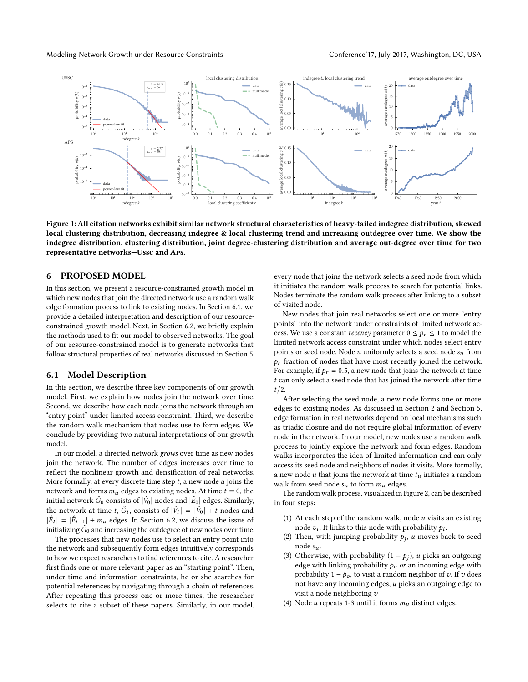Modeling Network Growth under Resource Constraints Conference' T7, July 2017, Washington, DC, USA

<span id="page-4-1"></span>

Figure 1: All citation networks exhibit similar network structural characteristics of heavy-tailed indegree distribution, skewed local clustering distribution, decreasing indegree & local clustering trend and increasing outdegree over time. We show the indegree distribution, clustering distribution, joint degree-clustering distribution and average out-degree over time for two representative networks—Ussc and Aps.

## <span id="page-4-0"></span>6 PROPOSED MODEL

In this section, we present a resource-constrained growth model in which new nodes that join the directed network use a random walk edge formation process to link to existing nodes. In Section [6.1,](#page-4-2) we provide a detailed interpretation and description of our resourceconstrained growth model. Next, in Section [6.2,](#page-5-1) we briefly explain the methods used to fit our model to observed networks. The goal of our resource-constrained model is to generate networks that follow structural properties of real networks discussed in Section [5.](#page-3-0)

#### <span id="page-4-2"></span>6.1 Model Description

In this section, we describe three key components of our growth model. First, we explain how nodes join the network over time. Second, we describe how each node joins the network through an "entry point" under limited access constraint. Third, we describe the random walk mechanism that nodes use to form edges. We conclude by providing two natural interpretations of our growth model.

In our model, a directed network grows over time as new nodes join the network. The number of edges increases over time to reflect the nonlinear growth and densification of real networks. More formally, at every discrete time step  $t$ , a new node  $u$  joins the network and forms  $m_u$  edges to existing nodes. At time  $t = 0$ , the initial network  $\hat{G}_0$  consists of  $|\hat{V}_0|$  nodes and  $|\hat{E}_0|$  edges. Similarly, the network at time t,  $\hat{G}_t$ , consists of  $|\hat{V}_t| = |\hat{V}_0| + t$  nodes and  $|\hat{F}_t| = |\hat{F}_t| + m$  edges. In Section 6.2, we discuss the issue of  $|\hat{E}_t| = |\hat{E}_{t-1}| + m_u$  edges. In Section [6.2,](#page-5-1) we discuss the issue of<br>initializing  $\hat{G}_s$  and increasing the outdegree of new nodes over time initializing  $\hat{G}_0$  and increasing the outdegree of new nodes over time.<br>The processes that new nodes use to select an entry point into

The processes that new nodes use to select an entry point into the network and subsequently form edges intuitively corresponds to how we expect researchers to find references to cite. A researcher first finds one or more relevant paper as an "starting point". Then, under time and information constraints, he or she searches for potential references by navigating through a chain of references. After repeating this process one or more times, the researcher selects to cite a subset of these papers. Similarly, in our model,

every node that joins the network selects a seed node from which it initiates the random walk process to search for potential links. Nodes terminate the random walk process after linking to a subset of visited node.

New nodes that join real networks select one or more "entry points" into the network under constraints of limited network access. We use a constant *recency* parameter  $0 \leq p_r \leq 1$  to model the limited network access constraint under which nodes select entry points or seed node. Node u uniformly selects a seed node  $s_u$  from  $p_r$  fraction of nodes that have most recently joined the network. For example, if  $p_r = 0.5$ , a new node that joins the network at time t can only select a seed node that has joined the network after time  $t/2$ .

After selecting the seed node, a new node forms one or more edges to existing nodes. As discussed in Section [2](#page-1-0) and Section [5,](#page-3-0) edge formation in real networks depend on local mechanisms such as triadic closure and do not require global information of every node in the network. In our model, new nodes use a random walk process to jointly explore the network and form edges. Random walks incorporates the idea of limited information and can only access its seed node and neighbors of nodes it visits. More formally, a new node u that joins the network at time  $t<sub>u</sub>$  initiates a random walk from seed node  $s_u$  to form  $m_u$  edges.

The random walk process, visualized in Figure [2,](#page-5-2) can be described in four steps:

- (1) At each step of the random walk, node  $u$  visits an existing node  $v_i$ . It links to this node with probability  $p_l$ .<br>Then with jumping probability  $v_i$ ,  $u$  moves be
- (2) Then, with jumping probability  $p_j$ , u moves back to seed node  $s_u$ .
- (3) Otherwise, with probability  $(1 p_j)$ , u picks an outgoing edge with linking probability  $p<sub>o</sub>$  or an incoming edge with probability  $1 - p_0$ , to visit a random neighbor of v. If v does not have any incoming edges, u picks an outgoing edge to visit a node neighboring v
- (4) Node u repeats 1-3 until it forms  $m_u$  distinct edges.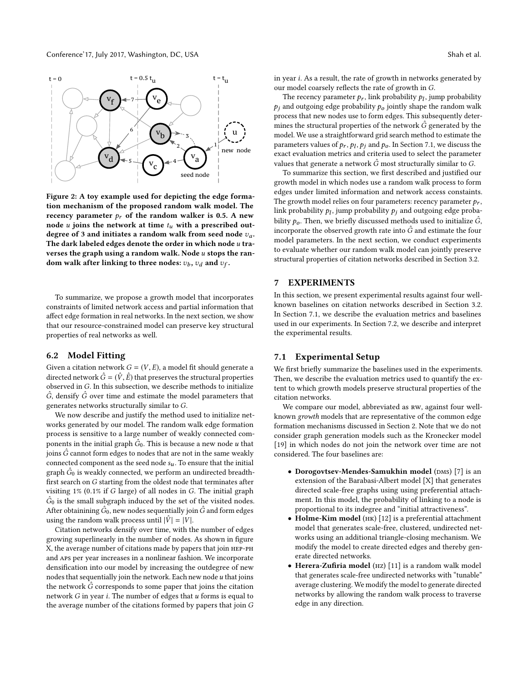<span id="page-5-2"></span>

Figure 2: A toy example used for depicting the edge formation mechanism of the proposed random walk model. The recency parameter  $p_r$  of the random walker is 0.5. A new node u joins the network at time  $t<sub>u</sub>$  with a prescribed outdegree of 3 and initiates a random walk from seed node  $v_a$ . The dark labeled edges denote the order in which node  $u$  traverses the graph using a random walk. Node  $u$  stops the random walk after linking to three nodes:  $v_b$ ,  $v_d$  and  $v_f$ .

To summarize, we propose a growth model that incorporates constraints of limited network access and partial information that affect edge formation in real networks. In the next section, we show that our resource-constrained model can preserve key structural properties of real networks as well.

## <span id="page-5-1"></span>6.2 Model Fitting

Given a citation network  $G = (V, E)$ , a model fit should generate a directed network  $\hat{G} = (\hat{V}, \hat{E})$  that preserves the structural properties observed in G. In this subsection, we describe methods to initialize  $\hat{G}$ , densify  $\hat{G}$  over time and estimate the model parameters that generates networks structurally similar to G.

We now describe and justify the method used to initialize networks generated by our model. The random walk edge formation process is sensitive to a large number of weakly connected components in the initial graph  $\hat{G}_0$ . This is because a new node u that  $\hat{G}$  cannot form edges to nodes that are not in the same weakly joins  $\hat{G}$  cannot form edges to nodes that are not in the same weakly connected component as the seed node  $s_u$ . To ensure that the initial graph  $\hat{G}_0$  is weakly connected, we perform an undirected breadth-<br>first search on G starting from the oldest node that terminates after first search on G starting from the oldest node that terminates after visiting 1% (0.1% if G large) of all nodes in G. The initial graph  $\hat{G}_0$  is the small subgraph induced by the set of the visited nodes. After obtainining  $\hat{G}_0$ , new nodes sequentially join  $\hat{G}$  and form edges using the random walk process until  $|\hat{V}| = |V|$ .

Citation networks densify over time, with the number of edges growing superlinearly in the number of nodes. As shown in figure X, the average number of citations made by papers that join hep-ph and aps per year increases in a nonlinear fashion. We incorporate densification into our model by increasing the outdegree of new nodes that sequentially join the network. Each new node  $u$  that joins the network  $\hat{G}$  corresponds to some paper that joins the citation network  $G$  in year  $i$ . The number of edges that  $u$  forms is equal to the average number of the citations formed by papers that join G in year i. As a result, the rate of growth in networks generated by our model coarsely reflects the rate of growth in G.

The recency parameter  $p_r$ , link probability  $p_l$ , jump probability<br>and outgoing edge probability  $p_l$ , jointly shape the random walk  $p_i$  and outgoing edge probability  $p_o$  jointly shape the random walk process that new nodes use to form edges. This subsequently determines the structural properties of the network  $\hat{G}$  generated by the model. We use a straightforward grid search method to estimate the parameters values of  $p_r$ ,  $p_l$ ,  $p_j$  and  $p_o$ . In Section [7.1,](#page-5-3) we discuss the expansion metrics and criteria used to select the parameter exact evaluation metrics and criteria used to select the parameter values that generate a network  $\hat{G}$  most structurally similar to  $G$ .

To summarize this section, we first described and justified our growth model in which nodes use a random walk process to form edges under limited information and network access constaints. The growth model relies on four parameters: recency parameter  $p_r$ , link probability  $p_l$ , jump probability  $p_j$  and outgoing edge proba-<br>bility a Then we briefly discussed methods yeed to initialize  $\hat{G}$ bility  $p_0$ . Then, we briefly discussed methods used to initialize  $\hat{G}$ , incorporate the observed growth rate into  $\hat{G}$  and estimate the four model parameters. In the next section, we conduct experiments to evaluate whether our random walk model can jointly preserve structural properties of citation networks described in Section [3.2.](#page-2-1)

## <span id="page-5-0"></span>7 EXPERIMENTS

In this section, we present experimental results against four wellknown baselines on citation networks described in Section [3.2.](#page-2-1) In Section [7.1,](#page-5-3) we describe the evaluation metrics and baselines used in our experiments. In Section [7.2,](#page-6-0) we describe and interpret the experimental results.

## <span id="page-5-3"></span>7.1 Experimental Setup

We first briefly summarize the baselines used in the experiments. Then, we describe the evaluation metrics used to quantify the extent to which growth models preserve structural properties of the citation networks.

We compare our model, abbreviated as RW, against four wellknown growth models that are representative of the common edge formation mechanisms discussed in Section [2.](#page-1-0) Note that we do not consider graph generation models such as the Kronecker model [\[19\]](#page-8-27) in which nodes do not join the network over time are not considered. The four baselines are:

- Dorogovtsev-Mendes-Samukhin model (DMS) [\[7\]](#page-8-28) is an extension of the Barabasi-Albert model [X] that generates directed scale-free graphs using using preferential attachment. In this model, the probability of linking to a node is proportional to its indegree and "initial attractiveness".
- Holme-Kim model (HK) [\[12\]](#page-8-11) is a preferential attachment model that generates scale-free, clustered, undirected networks using an additional triangle-closing mechanism. We modify the model to create directed edges and thereby generate directed networks.
- Herera-Zufiria model (hz) [\[11\]](#page-8-18) is a random walk model that generates scale-free undirected networks with "tunable" average clustering. We modify the model to generate directed networks by allowing the random walk process to traverse edge in any direction.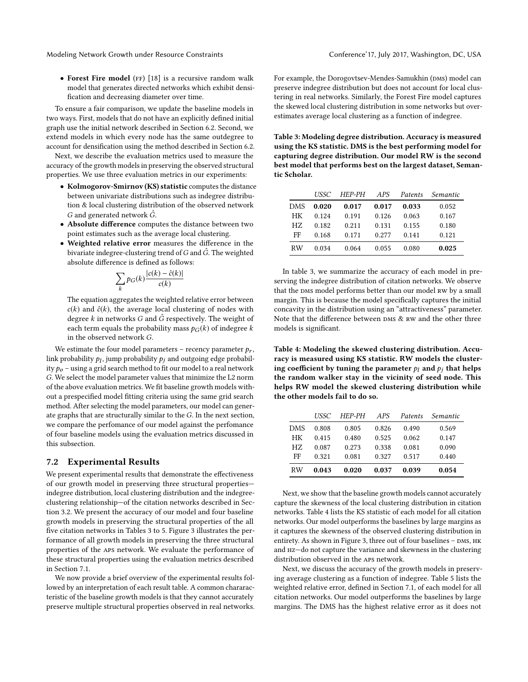• Forest Fire model (FF) [\[18\]](#page-8-25) is a recursive random walk model that generates directed networks which exhibit densification and decreasing diameter over time.

To ensure a fair comparison, we update the baseline models in two ways. First, models that do not have an explicitly defined initial graph use the initial network described in Section [6.2.](#page-5-1) Second, we extend models in which every node has the same outdegree to account for densification using the method described in Section [6.2.](#page-5-1)

Next, we describe the evaluation metrics used to measure the accuracy of the growth models in preserving the observed structural properties. We use three evaluation metrics in our experiments:

- Kolmogorov-Smirnov (KS) statistic computes the distance between univariate distributions such as indegree distribution & local clustering distribution of the observed network G and generated network  $\hat{G}$ .
- Absolute difference computes the distance between two point estimates such as the average local clustering.
- Weighted relative error measures the difference in the bivariate indegree-clustering trend of  $G$  and  $\hat{G}$ . The weighted absolute difference is defined as follows:

$$
\sum_{k} p_G(k) \frac{|c(k) - \hat{c}(k)|}{c(k)}
$$

The equation aggregates the weighted relative error between  $c(k)$  and  $\hat{c}(k)$ , the average local clustering of nodes with degree k in networks G and  $\hat{G}$  respectively. The weight of each term equals the probability mass  $p_G(k)$  of indegree k in the observed network G.

We estimate the four model parameters – recency parameter  $p_r$ , link probability  $p_l$ , jump probability  $p_j$  and outgoing edge probabil-<br>ity  $p_{\perp}$  - using a grid search method to fit our model to a real network ity  $p_0$  – using a grid search method to fit our model to a real network G. We select the model parameter values that minimize the L2 norm of the above evaluation metrics. We fit baseline growth models without a prespecified model fitting criteria using the same grid search method. After selecting the model parameters, our model can generate graphs that are structurally similar to the G. In the next section, we compare the perfomance of our model against the perfomance of four baseline models using the evaluation metrics discussed in this subsection.

## <span id="page-6-0"></span>7.2 Experimental Results

We present experimental results that demonstrate the effectiveness of our growth model in preserving three structural properties indegree distribution, local clustering distribution and the indegreeclustering relationship—of the citation networks described in Section [3.2.](#page-2-1) We present the accuracy of our model and four baseline growth models in preserving the structural properties of the all five citation networks in Tables [3](#page-6-1) to [5.](#page-7-0) Figure [3](#page-7-1) illustrates the performance of all growth models in preserving the three structural properties of the aps network. We evaluate the performance of these structural properties using the evaluation metrics described in Section [7.1.](#page-5-3)

We now provide a brief overview of the experimental results followed by an interpretation of each result table. A common chararacteristic of the baseline growth models is that they cannot accurately preserve multiple structural properties observed in real networks.

For example, the Dorogovtsev-Mendes-Samukhin (DMS) model can preserve indegree distribution but does not account for local clustering in real networks. Similarly, the Forest Fire model captures the skewed local clustering distribution in some networks but overestimates average local clustering as a function of indegree.

<span id="page-6-1"></span>Table 3: Modeling degree distribution. Accuracy is measured using the KS statistic. DMS is the best performing model for capturing degree distribution. Our model RW is the second best model that performs best on the largest dataset, Semantic Scholar.

|            | USSC. | HEP-PH | APS   | Patents | Semantic |
|------------|-------|--------|-------|---------|----------|
| <b>DMS</b> | 0.020 | 0.017  | 0.017 | 0.033   | 0.052    |
| HК         | 0.124 | 0.191  | 0.126 | 0.063   | 0.167    |
| HZ.        | 0.182 | 0.211  | 0.131 | 0.155   | 0.180    |
| FF         | 0.168 | 0.171  | 0.277 | 0.141   | 0.121    |
| <b>RW</b>  | 0.034 | 0.064  | 0.055 | 0.080   | 0.025    |

In table [3,](#page-6-1) we summarize the accuracy of each model in preserving the indegree distribution of citation networks. We observe that the DMS model performs better than our model RW by a small margin. This is because the model specifically captures the initial concavity in the distribution using an "attractiveness" parameter. Note that the difference between DMS & RW and the other three models is significant.

<span id="page-6-2"></span>Table 4: Modeling the skewed clustering distribution. Accuracy is measured using KS statistic. RW models the clustering coefficient by tuning the parameter  $p_l$  and  $p_i$  that helps the random walker stay in the vicinity of seed node. This helps RW model the skewed clustering distribution while the other models fail to do so.

|            | USSC. | HEP-PH | APS   | Patents | Semantic |
|------------|-------|--------|-------|---------|----------|
| <b>DMS</b> | 0.808 | 0.805  | 0.826 | 0.490   | 0.569    |
| HК         | 0.415 | 0.480  | 0.525 | 0.062   | 0.147    |
| HZ.        | 0.087 | 0.273  | 0.338 | 0.081   | 0.090    |
| FF         | 0.321 | 0.081  | 0.327 | 0.517   | 0.440    |
| <b>RW</b>  | 0.043 | 0.020  | 0.037 | 0.039   | 0.054    |

Next, we show that the baseline growth models cannot accurately capture the skewness of the local clustering distribution in citation networks. Table [4](#page-6-2) lists the KS statistic of each model for all citation networks. Our model outperforms the baselines by large margins as it captures the skewness of the observed clustering distribution in entirety. As shown in Figure [3,](#page-7-1) three out of four baselines - DMS, HK and hz—do not capture the variance and skewness in the clustering distribution observed in the aps network.

Next, we discuss the accuracy of the growth models in preserving average clustering as a function of indegree. Table [5](#page-7-0) lists the weighted relative error, defined in Section [7.1,](#page-5-3) of each model for all citation networks. Our model outperforms the baselines by large margins. The DMS has the highest relative error as it does not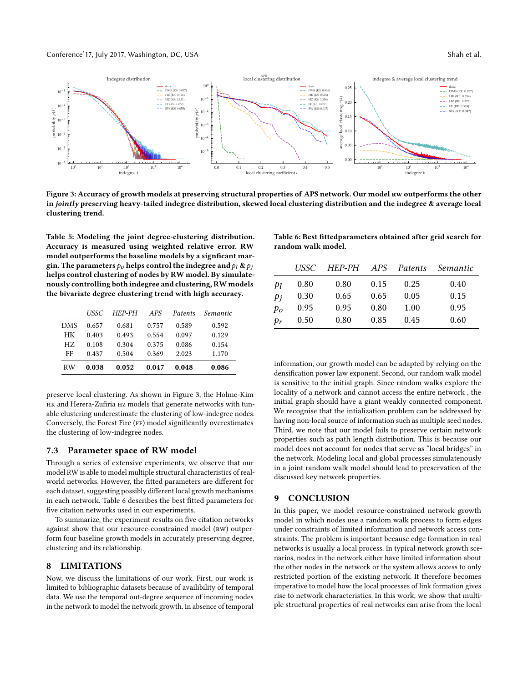<span id="page-7-1"></span>

Figure 3: Accuracy of growth models at preserving structural properties of APS network. Our model RW outperforms the other in jointly preserving heavy-tailed indegree distribution, skewed local clustering distribution and the indegree & average local clustering trend.

<span id="page-7-0"></span>Table 5: Modeling the joint degree-clustering distribution. Accuracy is measured using weighted relative error. RW model outperforms the baseline models by a signficant margin. The parameters  $p_o$  helps control the indegree and  $p_l \&p_j$ helps control clustering of nodes by RW model. By simulatenously controlling both indegree and clustering, RWmodels the bivariate degree clustering trend with high accuracy.

|            | USSC  | HEP-PH | APS   | Patents | Semantic |
|------------|-------|--------|-------|---------|----------|
| <b>DMS</b> | 0.657 | 0.681  | 0.757 | 0.589   | 0.592    |
| HK         | 0.403 | 0.493  | 0.554 | 0.097   | 0.129    |
| HZ.        | 0.108 | 0.304  | 0.375 | 0.086   | 0.154    |
| FF         | 0.437 | 0.504  | 0.369 | 2.023   | 1.170    |
| <b>RW</b>  | 0.038 | 0.052  | 0.047 | 0.048   | 0.086    |

preserve local clustering. As shown in Figure [3,](#page-7-1) the Holme-Kim HK and Herera-Zufiria HZ models that generate networks with tunable clustering underestimate the clustering of low-indegree nodes. Conversely, the Forest Fire (FF) model significantly overestimates the clustering of low-indegree nodes.

#### 7.3 Parameter space of RW model

Through a series of extensive experiments, we observe that our model RW is able to model multiple structural characteristics of realworld networks. However, the fitted parameters are different for each dataset, suggesting possibly different local growth mechanisms in each network. Table [6](#page-7-2) describes the best fitted parameters for five citation networks used in our experiments.

To summarize, the experiment results on five citation networks against show that our resource-constrained model (RW) outperform four baseline growth models in accurately preserving degree, clustering and its relationship.

#### 8 LIMITATIONS

Now, we discuss the limitations of our work. First, our work is limited to bibliographic datasets because of availibility of temporal data. We use the temporal out-degree sequence of incoming nodes in the network to model the network growth. In absence of temporal <span id="page-7-2"></span>Table 6: Best fittedparameters obtained after grid search for random walk model.

|                | USSC | HEP-PH APS Patents |      |      | Semantic |
|----------------|------|--------------------|------|------|----------|
| $p_l$          | 0.80 | 0.80               | 0.15 | 0.25 | 0.40     |
| pi             | 0.30 | 0.65               | 0.65 | 0.05 | 0.15     |
| p <sub>o</sub> | 0.95 | 0.95               | 0.80 | 1.00 | 0.95     |
| $p_r$          | 0.50 | 0.80               | 0.85 | 0.45 | 0.60     |
|                |      |                    |      |      |          |

information, our growth model can be adapted by relying on the densification power law exponent. Second, our random walk model is sensitive to the initial graph. Since random walks explore the locality of a network and cannot access the entire network , the initial graph should have a giant weakly connected component. We recognise that the intialization problem can be addressed by having non-local source of information such as multiple seed nodes. Third, we note that our model fails to preserve certain network properties such as path length distribution. This is because our model does not account for nodes that serve as "local bridges" in the network. Modeling local and global processes simulatenously in a joint random walk model should lead to preservation of the discussed key network properties.

## 9 CONCLUSION

In this paper, we model resource-constrained network growth model in which nodes use a random walk process to form edges under constraints of limited information and network access constraints. The problem is important because edge formation in real networks is usually a local process. In typical network growth scenarios, nodes in the network either have limited information about the other nodes in the network or the system allows access to only restricted portion of the existing network. It therefore becomes imperative to model how the local processes of link formation gives rise to network characteristics. In this work, we show that multiple structural properties of real networks can arise from the local